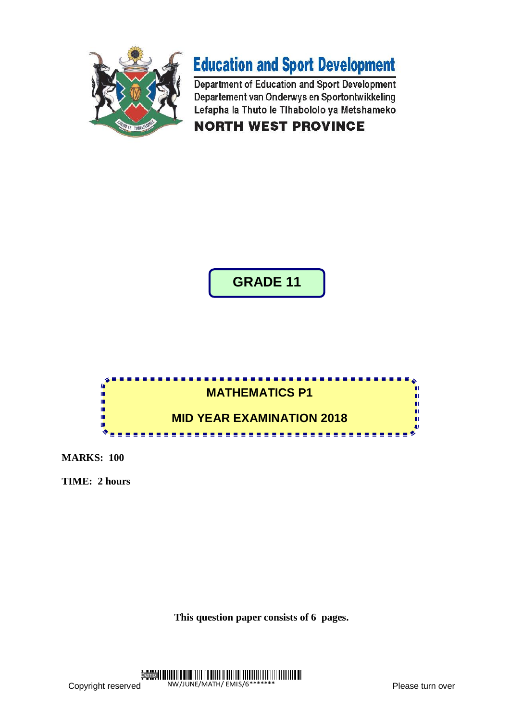



Department of Education and Sport Development Departement van Onderwys en Sportontwikkeling Lefapha la Thuto le Tihabololo ya Metshameko **NORTH WEST PROVINCE** 

**GRADE 11**



**MARKS: 100**

**TIME: 2 hours**

**This question paper consists of 6 pages.**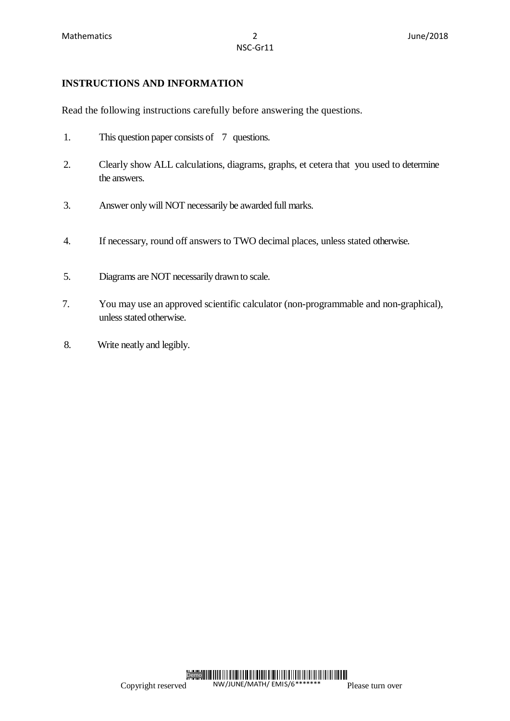# **INSTRUCTIONS AND INFORMATION**

Read the following instructions carefully before answering the questions.

- 1. This question paper consists of 7 questions.
- 2. Clearly show ALL calculations, diagrams, graphs, et cetera that you used to determine the answers.
- 3. Answer only will NOT necessarily be awarded full marks.
- 4. If necessary, round off answers to TWO decimal places, unless stated otherwise.
- 5. Diagrams are NOT necessarily drawn to scale.
- 7. You may use an approved scientific calculator (non-programmable and non-graphical), unless stated otherwise.
- 8. Write neatly and legibly.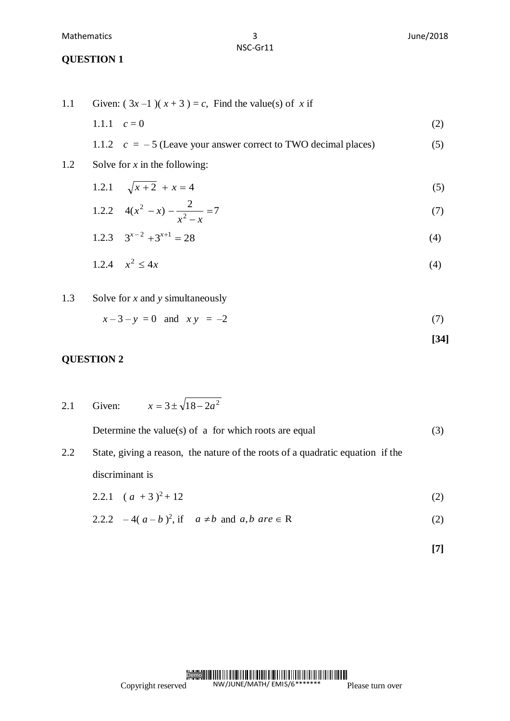NSC-Gr11

#### **QUESTION 1**

1.1 Given:  $(3x-1)(x+3) = c$ , Find the value(s) of x if 1.1.1  $c = 0$  (2) 1.1.2  $c = -5$  (Leave your answer correct to TWO decimal places) (5) 1.2 Solve for *x* in the following: 1.2.1  $\sqrt{x+2} + x = 4$  (5) 1.2.2  $4(x^2 - x) - \frac{2}{x^2} = 7$  $(x^2 - x) - \frac{2}{x^2} =$  $\overline{a}$  $(x)$  $x^2 - x$  $x^2 - x$ )  $-\frac{2}{3} = 7$  (7) 1.2.3  $3^{x-2} + 3^{x+1} = 28$  (4) 1.2.4  $x^2 \le 4x$  $\leq 4x$  (4) 1.3 Solve for *x* and *y* simultaneously

 $x-3-y=0$  and  $xy = -2$  (7)

$$
[34]
$$

### **QUESTION 2**

2.1 Given:  $x = 3 \pm \sqrt{18 - 2a^2}$ Determine the value(s) of a for which roots are equal  $(3)$ 2.2 State, giving a reason, the nature of the roots of a quadratic equation if the discriminant is 2.2.1  $(a + 3)^2 + 12$  (2)

2.2.2 
$$
-4(a-b)^2
$$
, if  $a \neq b$  and  $a, b$  are  $\in R$  (2)

$$
[7]
$$

#### Copyright reserved Demo<sup>III</sup> NW/JUNE/MATH/ EMIS/6\*\*\*\*\*\*\* Please turn over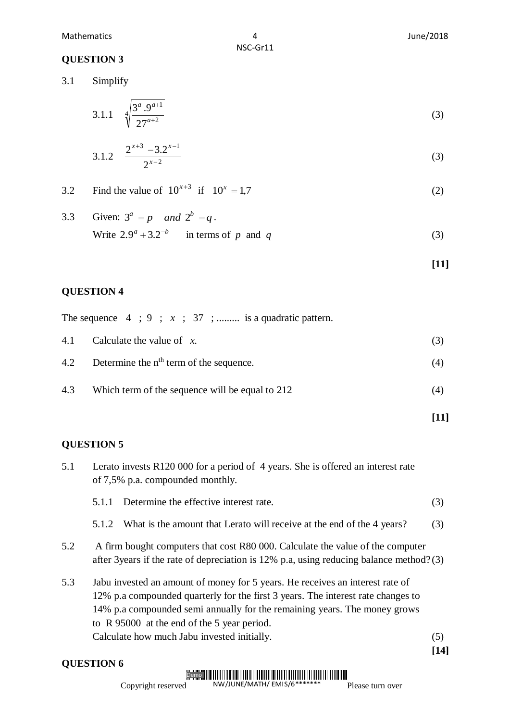#### Mathematics 4 June/2018

NSC-Gr11

## **QUESTION 3**

3.1 Simplify

$$
3.1.1 \quad \sqrt[4]{\frac{3^a \cdot 9^{a+1}}{27^{a+2}}}
$$
 (3)

$$
3.1.2 \quad \frac{2^{x+3} - 3.2^{x-1}}{2^{x-2}} \tag{3}
$$

3.2 Find the value of 
$$
10^{x+3}
$$
 if  $10^x = 1.7$  (2)

3.3 Given: 
$$
3^a = p
$$
 and  $2^b = q$ .

\nWrite  $2.9^a + 3.2^{-b}$  in terms of  $p$  and  $q$ .

\n(3)

**[11]**

**[11]**

# **QUESTION 4**

|  |  |  |  |  |  |  |  |  | The sequence $4 \; ; \; 9 \; ; \; x \; ; \; 37 \; ; \dots$ is a quadratic pattern. |
|--|--|--|--|--|--|--|--|--|------------------------------------------------------------------------------------|
|--|--|--|--|--|--|--|--|--|------------------------------------------------------------------------------------|

|     | 4.1 Calculate the value of $x$ .                |     |
|-----|-------------------------------------------------|-----|
|     | 4.2 Determine the $nth$ term of the sequence.   | (4) |
| 4.3 | Which term of the sequence will be equal to 212 | (4) |

# **QUESTION 5**

| 5.1 | Lerato invests R120 000 for a period of 4 years. She is offered an interest rate<br>of 7,5% p.a. compounded monthly.                                                                                                                                                                          |      |  |  |  |  |  |
|-----|-----------------------------------------------------------------------------------------------------------------------------------------------------------------------------------------------------------------------------------------------------------------------------------------------|------|--|--|--|--|--|
|     | Determine the effective interest rate.<br>5.1.1                                                                                                                                                                                                                                               | (3)  |  |  |  |  |  |
|     | What is the amount that Lerato will receive at the end of the 4 years?<br>5.1.2                                                                                                                                                                                                               | (3)  |  |  |  |  |  |
| 5.2 | A firm bought computers that cost R80 000. Calculate the value of the computer<br>after 3 years if the rate of depreciation is 12% p.a. using reducing balance method?(3)                                                                                                                     |      |  |  |  |  |  |
| 5.3 | Jabu invested an amount of money for 5 years. He receives an interest rate of<br>12% p.a compounded quarterly for the first 3 years. The interest rate changes to<br>14% p.a compounded semi annually for the remaining years. The money grows<br>to R 95000 at the end of the 5 year period. |      |  |  |  |  |  |
|     | Calculate how much Jabu invested initially.                                                                                                                                                                                                                                                   | (5)  |  |  |  |  |  |
|     |                                                                                                                                                                                                                                                                                               | [14] |  |  |  |  |  |

**QUESTION 6**

#### Demo NW/JUNE/MATH/ EMIS/6\*\*\*\*\*\*\*

Copyright reserved

Please turn over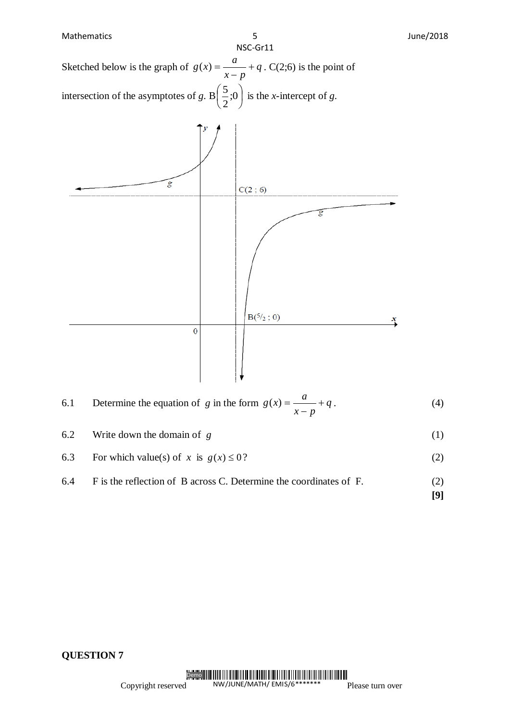Mathematics **1988 1998 1998 1998 1999 1999 1999 1999 1999 1999 1999 1999 1999 1999 1999 1999 1999 1999 1999 1999 1999 1999 1999 1999 1999 1999 1999 1999 1999 1999** NSC-Gr11  $g(x) = \frac{a}{x} + \frac{a}{x}$  $(x) = \frac{a}{x} + q$ . C(2;6) is the point of Sketched below is the graph of  $g(x) = \frac{a}{x+q} + q$  $x - p$  $\overline{a}$  $\left(\frac{5}{2};0\right)$  $\left(\frac{5}{2};0\right)$  $\left(\frac{5}{6}, 0\right)$  is the *x*-intercept of *g*. intersection of the asymptotes of *g*. B  $\frac{3}{2}$ ;0 2  $\setminus$ J  $\overline{\mathcal{E}}$  $C(2; 6)$  $\overline{g}$  $B({}^{5/2}$ ; 0)  $\overline{0}$  $g(x) = \frac{a}{x} + \frac{a}{x}$ 6.1 Determine the equation of *g* in the form  $g(x) = \frac{a}{x} + q$  $(x) = \frac{a}{a} + q$ . (4)  $x - p$  $\overline{a}$ 

6.2 Write down the domain of *g* (1)

- 6.3 For which value(s) of *x* is  $g(x) \le 0$ ?  $(2)$
- 6.4 F is the reflection of B across C. Determine the coordinates of F. (2)

**[9]**

×

**QUESTION 7**